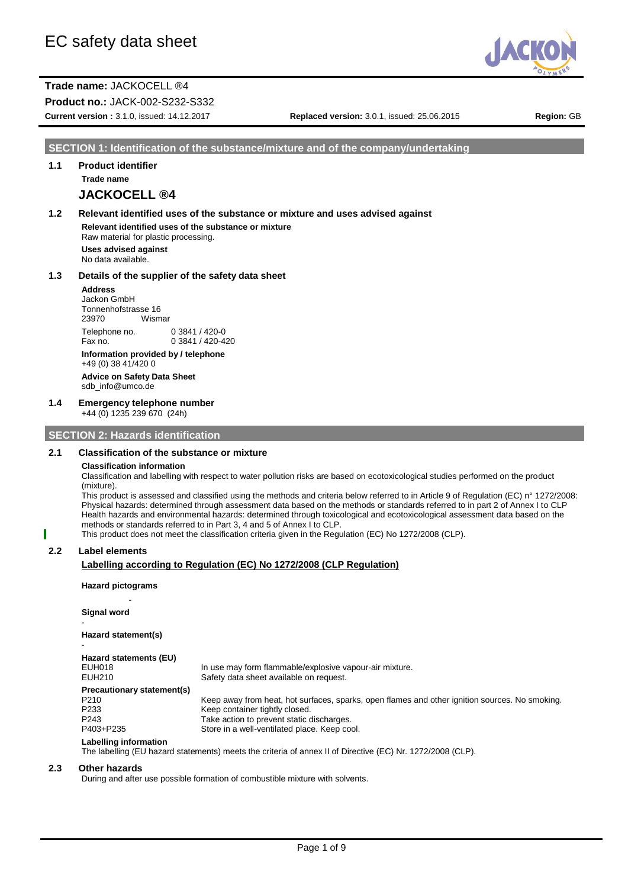

**Product no.:** JACK-002-S232-S332

**Current version :** 3.1.0, issued: 14.12.2017 **Replaced version:** 3.0.1, issued: 25.06.2015 **Region:** GB

#### **SECTION 1: Identification of the substance/mixture and of the company/undertaking**

# **1.1 Product identifier Trade name**

# **JACKOCELL ®4**

# **1.2 Relevant identified uses of the substance or mixture and uses advised against**

**Relevant identified uses of the substance or mixture** Raw material for plastic processing. **Uses advised against**

No data available.

#### **1.3 Details of the supplier of the safety data sheet**

**Address** Jackon GmbH Tonnenhofstrasse 16 23970 Wismar Telephone no. 0 3841 / 420-0<br>Fax no. 0 3841 / 420-4  $0.3841 / 420 - 420$ 

**Information provided by / telephone** +49 (0) 38 41/420 0 **Advice on Safety Data Sheet**

sdb\_info@umco.de

#### **1.4 Emergency telephone number**

+44 (0) 1235 239 670 (24h)

### **SECTION 2: Hazards identification**

#### **2.1 Classification of the substance or mixture**

#### **Classification information**

Classification and labelling with respect to water pollution risks are based on ecotoxicological studies performed on the product (mixture).

This product is assessed and classified using the methods and criteria below referred to in Article 9 of Regulation (EC) n° 1272/2008: Physical hazards: determined through assessment data based on the methods or standards referred to in part 2 of Annex I to CLP Health hazards and environmental hazards: determined through toxicological and ecotoxicological assessment data based on the methods or standards referred to in Part 3, 4 and 5 of Annex I to CLP.

This product does not meet the classification criteria given in the Regulation (EC) No 1272/2008 (CLP).

#### **2.2 Label elements**

#### **Labelling according to Regulation (EC) No 1272/2008 (CLP Regulation)**

**Hazard pictograms**

- **Signal word**

-

**Hazard statement(s)** -

#### **Hazard statements (EU)**

EUH018 In use may form flammable/explosive vapour-air mixture.<br>EUH210 Safety data sheet available on request. Safety data sheet available on request.

**Precautionary statement(s)** P210 Keep away from heat, hot surfaces, sparks, open flames and other ignition sources. No smoking.<br>P233 Keep container tightly closed.

- P233 Keep container tightly closed.<br>P243 Take action to prevent static o P243 Take action to prevent static discharges.<br>P403+P235 Store in a well-ventilated place. Keep co
	- Store in a well-ventilated place. Keep cool.

# **Labelling information**

The labelling (EU hazard statements) meets the criteria of annex II of Directive (EC) Nr. 1272/2008 (CLP).

#### **2.3 Other hazards**

During and after use possible formation of combustible mixture with solvents.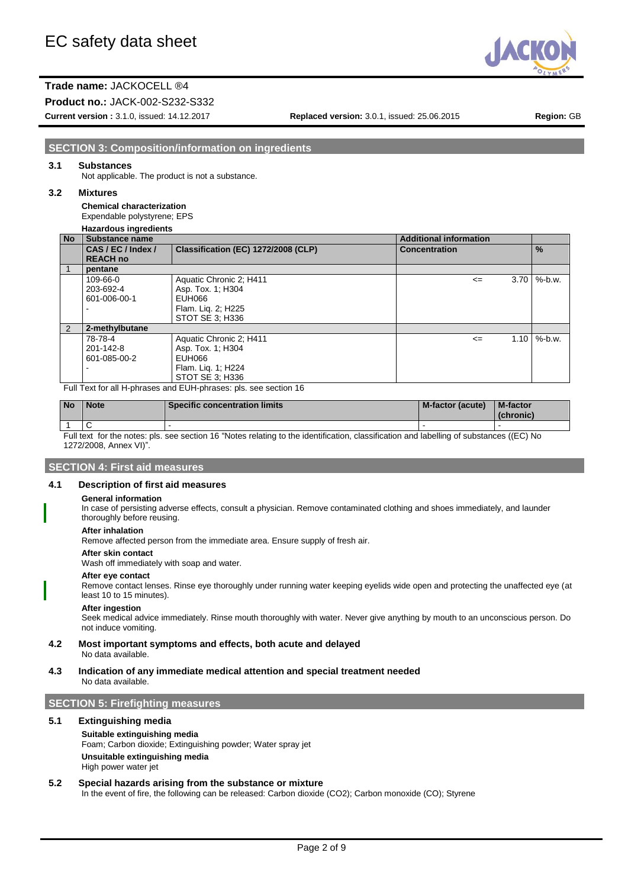

**Product no.:** JACK-002-S232-S332

**Current version :** 3.1.0, issued: 14.12.2017 **Replaced version:** 3.0.1, issued: 25.06.2015 **Region:** GB

# **SECTION 3: Composition/information on ingredients**

#### **3.1 Substances**

Not applicable. The product is not a substance.

#### **3.2 Mixtures**

**Chemical characterization** Expendable polystyrene; EPS

# **Hazardous ingredients**

| No            | <b>Substance name</b>                 |                                     | <b>Additional information</b> |                           |
|---------------|---------------------------------------|-------------------------------------|-------------------------------|---------------------------|
|               | CAS / EC / Index /<br><b>REACH no</b> | Classification (EC) 1272/2008 (CLP) | <b>Concentration</b>          | $\%$                      |
|               | pentane                               |                                     |                               |                           |
|               | 109-66-0                              | Aquatic Chronic 2; H411             | $\leq$                        | $3.70 \, \text{M}$ %-b.w. |
|               | 203-692-4                             | Asp. Tox. 1; H304                   |                               |                           |
|               | 601-006-00-1                          | EUH066                              |                               |                           |
|               |                                       | Flam. Lig. 2; H225                  |                               |                           |
|               |                                       | STOT SE 3: H336                     |                               |                           |
| $\mathcal{P}$ | 2-methylbutane                        |                                     |                               |                           |
|               | 78-78-4                               | Aquatic Chronic 2; H411             | $\leq$                        | $1.10 \frac{9}{6}$ -b.w.  |
|               | 201-142-8                             | Asp. Tox. 1; H304                   |                               |                           |
|               | 601-085-00-2                          | EUH066                              |                               |                           |
|               |                                       | Flam. Lig. 1; H224                  |                               |                           |
|               |                                       | STOT SE 3; H336                     |                               |                           |

Full Text for all H-phrases and EUH-phrases: pls. see section 16

| l No | <b>Note</b>                                                                                                                             | <b>Specific concentration limits</b> | M-factor (acute) | <b>M-factor</b><br>(chronic) |
|------|-----------------------------------------------------------------------------------------------------------------------------------------|--------------------------------------|------------------|------------------------------|
|      |                                                                                                                                         |                                      |                  |                              |
|      | Full text for the notes: pls. see section 16 "Notes relating to the identification, classification and labelling of substances ((EC) No |                                      |                  |                              |

Full text for the notes: pls. see section 16 "Notes relating to the identification, classification and labelling of substances ((EC) No 1272/2008, Annex VI)".

## **SECTION 4: First aid measures**

#### **4.1 Description of first aid measures**

#### **General information**

In case of persisting adverse effects, consult a physician. Remove contaminated clothing and shoes immediately, and launder thoroughly before reusing.

#### **After inhalation**

Remove affected person from the immediate area. Ensure supply of fresh air.

**After skin contact**

Wash off immediately with soap and water.

#### **After eye contact**

Remove contact lenses. Rinse eye thoroughly under running water keeping eyelids wide open and protecting the unaffected eye (at least 10 to 15 minutes).

#### **After ingestion**

Seek medical advice immediately. Rinse mouth thoroughly with water. Never give anything by mouth to an unconscious person. Do not induce vomiting.

**4.2 Most important symptoms and effects, both acute and delayed** No data available.

**4.3 Indication of any immediate medical attention and special treatment needed** No data available.

### **SECTION 5: Firefighting measures**

## **5.1 Extinguishing media**

# **Suitable extinguishing media**

Foam; Carbon dioxide; Extinguishing powder; Water spray jet **Unsuitable extinguishing media** High power water jet

## **5.2 Special hazards arising from the substance or mixture**

In the event of fire, the following can be released: Carbon dioxide (CO2); Carbon monoxide (CO); Styrene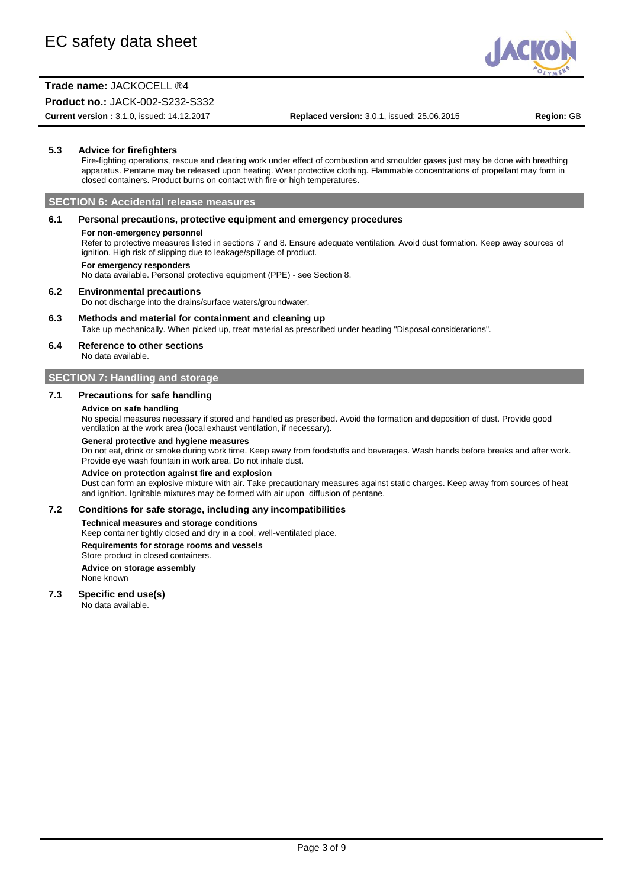

## **Product no.:** JACK-002-S232-S332

**Current version :** 3.1.0, issued: 14.12.2017 **Replaced version:** 3.0.1, issued: 25.06.2015 **Region:** GB

#### **5.3 Advice for firefighters**

Fire-fighting operations, rescue and clearing work under effect of combustion and smoulder gases just may be done with breathing apparatus. Pentane may be released upon heating. Wear protective clothing. Flammable concentrations of propellant may form in closed containers. Product burns on contact with fire or high temperatures.

#### **SECTION 6: Accidental release measures**

#### **6.1 Personal precautions, protective equipment and emergency procedures**

#### **For non-emergency personnel**

Refer to protective measures listed in sections 7 and 8. Ensure adequate ventilation. Avoid dust formation. Keep away sources of ignition. High risk of slipping due to leakage/spillage of product.

#### **For emergency responders**

No data available. Personal protective equipment (PPE) - see Section 8.

#### **6.2 Environmental precautions**

Do not discharge into the drains/surface waters/groundwater.

#### **6.3 Methods and material for containment and cleaning up**

Take up mechanically. When picked up, treat material as prescribed under heading "Disposal considerations".

#### **6.4 Reference to other sections**

No data available.

#### **SECTION 7: Handling and storage**

#### **7.1 Precautions for safe handling**

#### **Advice on safe handling**

No special measures necessary if stored and handled as prescribed. Avoid the formation and deposition of dust. Provide good ventilation at the work area (local exhaust ventilation, if necessary).

#### **General protective and hygiene measures**

Do not eat, drink or smoke during work time. Keep away from foodstuffs and beverages. Wash hands before breaks and after work. Provide eye wash fountain in work area. Do not inhale dust.

#### **Advice on protection against fire and explosion**

Dust can form an explosive mixture with air. Take precautionary measures against static charges. Keep away from sources of heat and ignition. Ignitable mixtures may be formed with air upon diffusion of pentane.

#### **7.2 Conditions for safe storage, including any incompatibilities**

#### **Technical measures and storage conditions**

Keep container tightly closed and dry in a cool, well-ventilated place.

#### **Requirements for storage rooms and vessels**

Store product in closed containers.

#### **Advice on storage assembly**

None known

#### **7.3 Specific end use(s)**

No data available.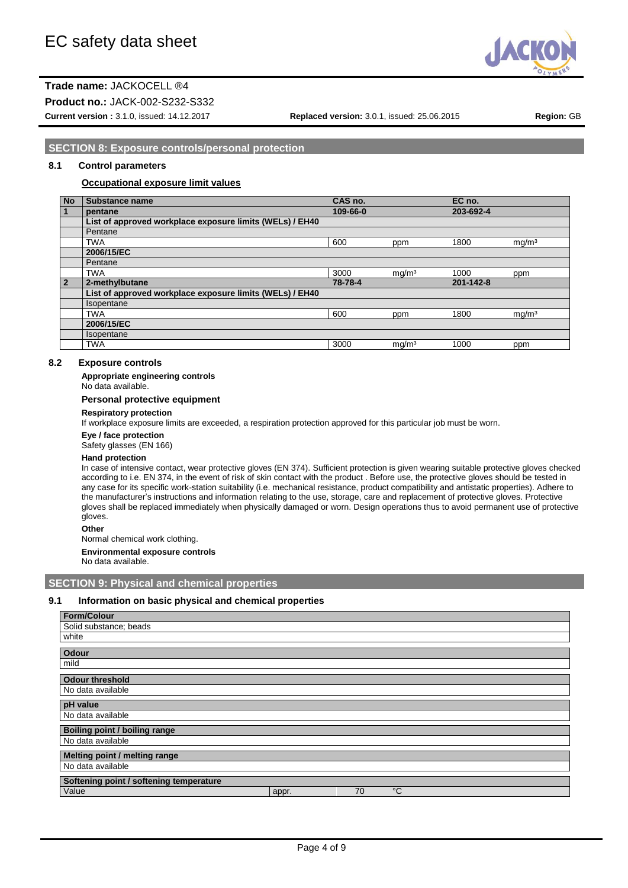

**Product no.:** JACK-002-S232-S332

**Current version :** 3.1.0, issued: 14.12.2017 **Replaced version:** 3.0.1, issued: 25.06.2015 **Region:** GB

# **SECTION 8: Exposure controls/personal protection**

#### **8.1 Control parameters**

#### **Occupational exposure limit values**

| <b>No</b>      | Substance name                                           | CAS no.  |                   | EC no.    |                   |
|----------------|----------------------------------------------------------|----------|-------------------|-----------|-------------------|
| 1              | pentane                                                  | 109-66-0 |                   | 203-692-4 |                   |
|                | List of approved workplace exposure limits (WELs) / EH40 |          |                   |           |                   |
|                | Pentane                                                  |          |                   |           |                   |
|                | <b>TWA</b>                                               | 600      | ppm               | 1800      | mq/m <sup>3</sup> |
|                | 2006/15/EC                                               |          |                   |           |                   |
|                | Pentane                                                  |          |                   |           |                   |
|                | <b>TWA</b>                                               | 3000     | mg/m <sup>3</sup> | 1000      | ppm               |
| $\overline{2}$ | 2-methylbutane                                           | 78-78-4  |                   | 201-142-8 |                   |
|                | List of approved workplace exposure limits (WELs) / EH40 |          |                   |           |                   |
|                | Isopentane                                               |          |                   |           |                   |
|                | <b>TWA</b>                                               | 600      | ppm               | 1800      | mg/m <sup>3</sup> |
|                | 2006/15/EC                                               |          |                   |           |                   |
|                | Isopentane                                               |          |                   |           |                   |
|                | <b>TWA</b>                                               | 3000     | mq/m <sup>3</sup> | 1000      | ppm               |

# **8.2 Exposure controls**

**Appropriate engineering controls**

No data available.

#### **Personal protective equipment**

#### **Respiratory protection**

If workplace exposure limits are exceeded, a respiration protection approved for this particular job must be worn.

**Eye / face protection**

Safety glasses (EN 166)

#### **Hand protection**

In case of intensive contact, wear protective gloves (EN 374). Sufficient protection is given wearing suitable protective gloves checked according to i.e. EN 374, in the event of risk of skin contact with the product . Before use, the protective gloves should be tested in any case for its specific work-station suitability (i.e. mechanical resistance, product compatibility and antistatic properties). Adhere to the manufacturer's instructions and information relating to the use, storage, care and replacement of protective gloves. Protective gloves shall be replaced immediately when physically damaged or worn. Design operations thus to avoid permanent use of protective gloves.

**Other**

Normal chemical work clothing.

**Environmental exposure controls**

No data available.

#### **SECTION 9: Physical and chemical properties**

#### **9.1 Information on basic physical and chemical properties**

| <b>Form/Colour</b>                      |       |    |             |
|-----------------------------------------|-------|----|-------------|
| Solid substance; beads                  |       |    |             |
| white                                   |       |    |             |
| Odour                                   |       |    |             |
| mild                                    |       |    |             |
| <b>Odour threshold</b>                  |       |    |             |
|                                         |       |    |             |
| No data available                       |       |    |             |
| pH value                                |       |    |             |
| No data available                       |       |    |             |
| Boiling point / boiling range           |       |    |             |
| No data available                       |       |    |             |
| Melting point / melting range           |       |    |             |
| No data available                       |       |    |             |
| Softening point / softening temperature |       |    |             |
| Value                                   | appr. | 70 | $^{\circ}C$ |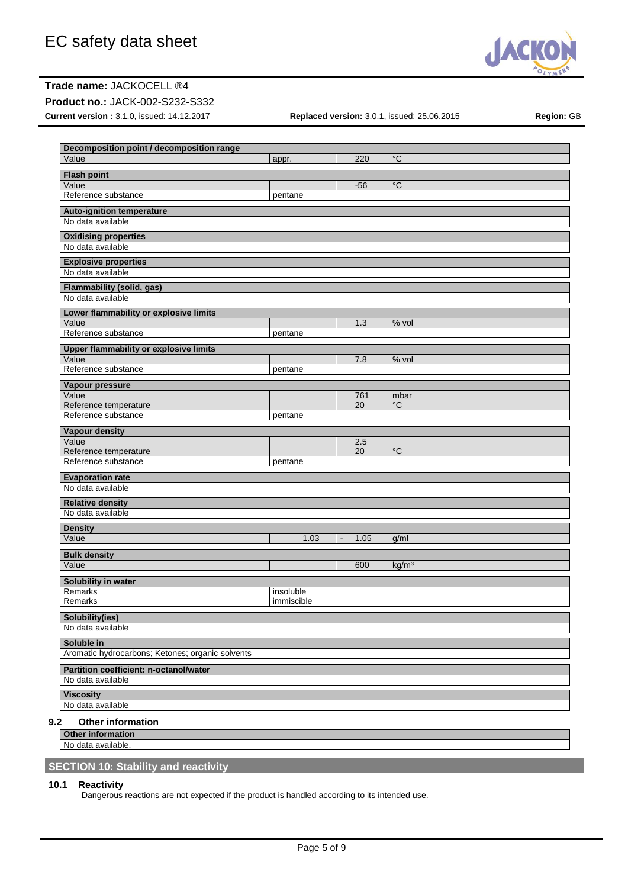

## **Product no.:** JACK-002-S232-S332

**Current version :** 3.1.0, issued: 14.12.2017 **Replaced version:** 3.0.1, issued: 25.06.2015 **Region:** GB

| Decomposition point / decomposition range<br>Value | appr.      | 220                    | $\overline{C}$    |
|----------------------------------------------------|------------|------------------------|-------------------|
|                                                    |            |                        |                   |
| <b>Flash point</b><br>Value                        |            |                        | $^{\circ}C$       |
| Reference substance                                | pentane    | $-56$                  |                   |
|                                                    |            |                        |                   |
| <b>Auto-ignition temperature</b>                   |            |                        |                   |
| No data available                                  |            |                        |                   |
| <b>Oxidising properties</b>                        |            |                        |                   |
| No data available                                  |            |                        |                   |
| <b>Explosive properties</b>                        |            |                        |                   |
| No data available                                  |            |                        |                   |
| <b>Flammability (solid, gas)</b>                   |            |                        |                   |
| No data available                                  |            |                        |                   |
| Lower flammability or explosive limits             |            |                        |                   |
| Value                                              |            | 1.3                    | % vol             |
| Reference substance                                | pentane    |                        |                   |
| <b>Upper flammability or explosive limits</b>      |            |                        |                   |
| Value                                              |            | 7.8                    | % vol             |
| Reference substance                                | pentane    |                        |                   |
| <b>Vapour pressure</b>                             |            |                        |                   |
| Value                                              |            | 761                    | mbar              |
| Reference temperature<br>Reference substance       |            | 20                     | $^{\circ}C$       |
|                                                    | pentane    |                        |                   |
| Vapour density                                     |            |                        |                   |
| Value<br>Reference temperature                     |            | 2.5<br>20              | $^{\circ}C$       |
| Reference substance                                | pentane    |                        |                   |
|                                                    |            |                        |                   |
| <b>Evaporation rate</b><br>No data available       |            |                        |                   |
|                                                    |            |                        |                   |
| <b>Relative density</b><br>No data available       |            |                        |                   |
|                                                    |            |                        |                   |
| <b>Density</b>                                     |            |                        |                   |
| Value                                              | 1.03       | 1.05<br>$\blacksquare$ | g/ml              |
| <b>Bulk density</b>                                |            |                        |                   |
| Value                                              |            | 600                    | kg/m <sup>3</sup> |
| Solubility in water                                |            |                        |                   |
| Remarks                                            | insoluble  |                        |                   |
| Remarks                                            | immiscible |                        |                   |
| <b>Solubility(ies)</b>                             |            |                        |                   |
| No data available                                  |            |                        |                   |
| Soluble in                                         |            |                        |                   |
| Aromatic hydrocarbons; Ketones; organic solvents   |            |                        |                   |
| Partition coefficient: n-octanol/water             |            |                        |                   |
| No data available                                  |            |                        |                   |
|                                                    |            |                        |                   |
| <b>Viscosity</b><br>No data available              |            |                        |                   |
|                                                    |            |                        |                   |
| 9.2<br><b>Other information</b>                    |            |                        |                   |
| <b>Other information</b>                           |            |                        |                   |

No data available.

# **SECTION 10: Stability and reactivity**

#### **10.1 Reactivity**

Dangerous reactions are not expected if the product is handled according to its intended use.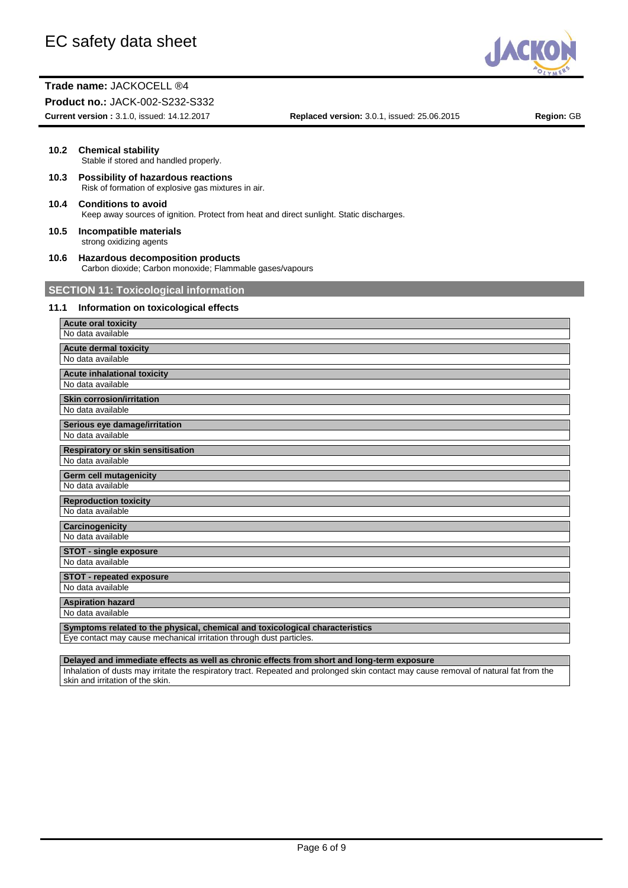

#### **Product no.:** JACK-002-S232-S332

**Current version :** 3.1.0, issued: 14.12.2017 **Replaced version:** 3.0.1, issued: 25.06.2015 **Region:** GB

#### **10.2 Chemical stability** Stable if stored and handled properly.

- **10.3 Possibility of hazardous reactions** Risk of formation of explosive gas mixtures in air.
- **10.4 Conditions to avoid** Keep away sources of ignition. Protect from heat and direct sunlight. Static discharges.
- **10.5 Incompatible materials** strong oxidizing agents
- **10.6 Hazardous decomposition products** Carbon dioxide; Carbon monoxide; Flammable gases/vapours

# **SECTION 11: Toxicological information**

## **11.1 Information on toxicological effects**

| <b>Acute oral toxicity</b>                                                   |
|------------------------------------------------------------------------------|
| No data available                                                            |
| <b>Acute dermal toxicity</b>                                                 |
| No data available                                                            |
| <b>Acute inhalational toxicity</b>                                           |
| No data available                                                            |
| <b>Skin corrosion/irritation</b>                                             |
| No data available                                                            |
| Serious eye damage/irritation                                                |
| No data available                                                            |
| Respiratory or skin sensitisation                                            |
| No data available                                                            |
| Germ cell mutagenicity                                                       |
| No data available                                                            |
| <b>Reproduction toxicity</b>                                                 |
| No data available                                                            |
| <b>Carcinogenicity</b>                                                       |
| No data available                                                            |
| <b>STOT - single exposure</b>                                                |
| No data available                                                            |
| <b>STOT - repeated exposure</b>                                              |
| No data available                                                            |
| <b>Aspiration hazard</b>                                                     |
| No data available                                                            |
| Symptoms related to the physical, chemical and toxicological characteristics |
| Eye contact may cause mechanical irritation through dust particles.          |

**Delayed and immediate effects as well as chronic effects from short and long-term exposure** Inhalation of dusts may irritate the respiratory tract. Repeated and prolonged skin contact may cause removal of natural fat from the skin and irritation of the skin.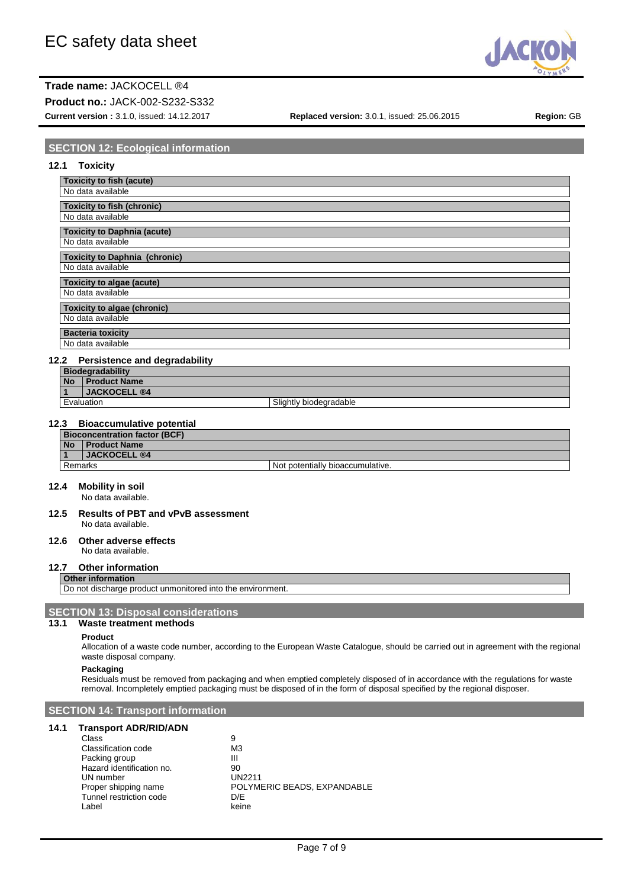

**Product no.:** JACK-002-S232-S332

**Current version :** 3.1.0, issued: 14.12.2017 **Replaced version:** 3.0.1, issued: 25.06.2015 **Region:** GB

# **SECTION 12: Ecological information**

| 12.1<br><b>Toxicity</b>                      |
|----------------------------------------------|
| <b>Toxicity to fish (acute)</b>              |
| No data available                            |
| <b>Toxicity to fish (chronic)</b>            |
| No data available                            |
| <b>Toxicity to Daphnia (acute)</b>           |
| No data available                            |
| <b>Toxicity to Daphnia (chronic)</b>         |
| No data available                            |
| Toxicity to algae (acute)                    |
| No data available                            |
| Toxicity to algae (chronic)                  |
| No data available                            |
| <b>Bacteria toxicity</b>                     |
| No data available                            |
| <b>Persistence and degradability</b><br>12.2 |
| <b>Biodegradability</b>                      |
| <b>Product Name</b><br><b>No</b>             |

# **1 JACKOCELL ®4**

Evaluation Slightly biodegradable

# **12.3 Bioaccumulative potential**

| <b>Bioconcentration factor (BCF)</b> |                       |                                  |  |
|--------------------------------------|-----------------------|----------------------------------|--|
| <b>No</b>                            | <b>Product Name</b>   |                                  |  |
|                                      | <b>I JACKOCELL ®4</b> |                                  |  |
| Remarks                              |                       | Not potentially bioaccumulative. |  |

#### **12.4 Mobility in soil**

No data available.

**12.5 Results of PBT and vPvB assessment** No data available.

#### **12.6 Other adverse effects** No data available.

# **12.7 Other information**

# **Other information**

Do not discharge product unmonitored into the environment.

### **SECTION 13: Disposal considerations**

#### **13.1 Waste treatment methods**

#### **Product**

Allocation of a waste code number, according to the European Waste Catalogue, should be carried out in agreement with the regional waste disposal company.

#### **Packaging**

Residuals must be removed from packaging and when emptied completely disposed of in accordance with the regulations for waste removal. Incompletely emptied packaging must be disposed of in the form of disposal specified by the regional disposer.

# **SECTION 14: Transport information**

#### **14.1 Transport ADR/RID/ADN**

| Class                     | 9                           |
|---------------------------|-----------------------------|
| Classification code       | M <sub>3</sub>              |
| Packing group             | Ш                           |
| Hazard identification no. | 90                          |
| UN number                 | <b>UN2211</b>               |
| Proper shipping name      | POLYMERIC BEADS, EXPANDABLE |
| Tunnel restriction code   | D/F                         |
| Label                     | keine                       |
|                           |                             |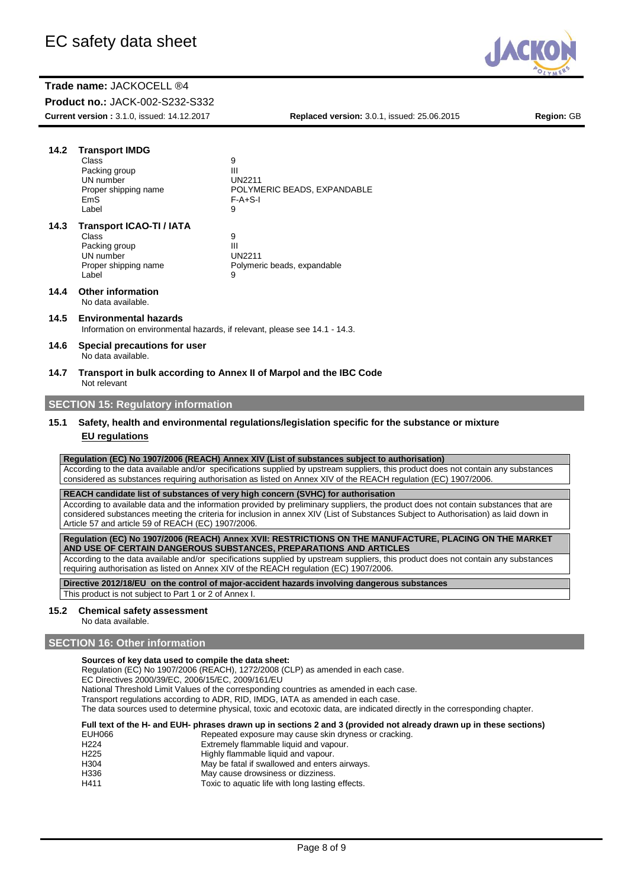**Product no.:** JACK-002-S232-S332

**Current version :** 3.1.0, issued: 14.12.2017 **Replaced version:** 3.0.1, issued: 25.06.2015 **Region:** GB

JAC

| 14.2                                                                                                                            | <b>Transport IMDG</b><br>Class<br>Packing group<br>UN number<br>Proper shipping name<br>EmS<br>Label                                                                                                                                                                                                                                                  | 9<br>Ш<br><b>UN2211</b><br>POLYMERIC BEADS, EXPANDABLE<br>$F-A+S-I$<br>9         |  |
|---------------------------------------------------------------------------------------------------------------------------------|-------------------------------------------------------------------------------------------------------------------------------------------------------------------------------------------------------------------------------------------------------------------------------------------------------------------------------------------------------|----------------------------------------------------------------------------------|--|
| 14.3                                                                                                                            | <b>Transport ICAO-TI / IATA</b><br>Class<br>Packing group<br>UN number<br>Proper shipping name<br>Label                                                                                                                                                                                                                                               | 9<br>Ш<br><b>UN2211</b><br>Polymeric beads, expandable<br>9                      |  |
| 14.4                                                                                                                            | <b>Other information</b><br>No data available.                                                                                                                                                                                                                                                                                                        |                                                                                  |  |
| 14.5                                                                                                                            | <b>Environmental hazards</b><br>Information on environmental hazards, if relevant, please see 14.1 - 14.3.                                                                                                                                                                                                                                            |                                                                                  |  |
| 14.6                                                                                                                            | Special precautions for user<br>No data available.                                                                                                                                                                                                                                                                                                    |                                                                                  |  |
| 14.7                                                                                                                            | Not relevant                                                                                                                                                                                                                                                                                                                                          | Transport in bulk according to Annex II of Marpol and the IBC Code               |  |
|                                                                                                                                 | <b>SECTION 15: Regulatory information</b>                                                                                                                                                                                                                                                                                                             |                                                                                  |  |
| Safety, health and environmental regulations/legislation specific for the substance or mixture<br>15.1<br><b>EU</b> regulations |                                                                                                                                                                                                                                                                                                                                                       |                                                                                  |  |
|                                                                                                                                 | Regulation (EC) No 1907/2006 (REACH) Annex XIV (List of substances subject to authorisation)<br>According to the data available and/or specifications supplied by upstream suppliers, this product does not contain any substances<br>considered as substances requiring authorisation as listed on Annex XIV of the REACH regulation (EC) 1907/2006. |                                                                                  |  |
|                                                                                                                                 |                                                                                                                                                                                                                                                                                                                                                       | REACH candidate list of substances of very high concern (SVHC) for authorisation |  |
|                                                                                                                                 | According to available data and the information provided by preliminary suppliers, the product does not contain substances that are<br>considered substances meeting the criteria for inclusion in annex XIV (List of Substances Subject to Authorisation) as laid down in<br>Article 57 and article 59 of REACH (EC) 1907/2006.                      |                                                                                  |  |
|                                                                                                                                 | Regulation (EC) No 1907/2006 (REACH) Annex XVII: RESTRICTIONS ON THE MANUFACTURE, PLACING ON THE MARKET<br>AND USE OF CERTAIN DANGEROUS SUBSTANCES, PREPARATIONS AND ARTICLES                                                                                                                                                                         |                                                                                  |  |
|                                                                                                                                 | According to the data available and/or specifications supplied by upstream suppliers, this product does not contain any substances<br>requiring authorisation as listed on Annex XIV of the REACH regulation (EC) 1907/2006.                                                                                                                          |                                                                                  |  |
|                                                                                                                                 | Directive 2012/18/EU on the control of major-accident hazards involving dangerous substances<br>This product is not subject to Part 1 or 2 of Annex I.                                                                                                                                                                                                |                                                                                  |  |
| 15.2                                                                                                                            | <b>Chemical safety assessment</b><br>No data available.                                                                                                                                                                                                                                                                                               |                                                                                  |  |

# **SECTION 16: Other information**

**Sources of key data used to compile the data sheet:**

Regulation (EC) No 1907/2006 (REACH), 1272/2008 (CLP) as amended in each case.

EC Directives 2000/39/EC, 2006/15/EC, 2009/161/EU

National Threshold Limit Values of the corresponding countries as amended in each case.

Transport regulations according to ADR, RID, IMDG, IATA as amended in each case.

The data sources used to determine physical, toxic and ecotoxic data, are indicated directly in the corresponding chapter.

#### **Full text of the H- and EUH- phrases drawn up in sections 2 and 3 (provided not already drawn up in these sections)** cracking.

| EUH066           | Repeated exposure may cause skin dryness or      |
|------------------|--------------------------------------------------|
| H <sub>224</sub> | Extremely flammable liquid and vapour.           |
| H <sub>225</sub> | Highly flammable liquid and vapour.              |
| H <sub>304</sub> | May be fatal if swallowed and enters airways.    |
| H336             | May cause drowsiness or dizziness.               |
| H411             | Toxic to aquatic life with long lasting effects. |